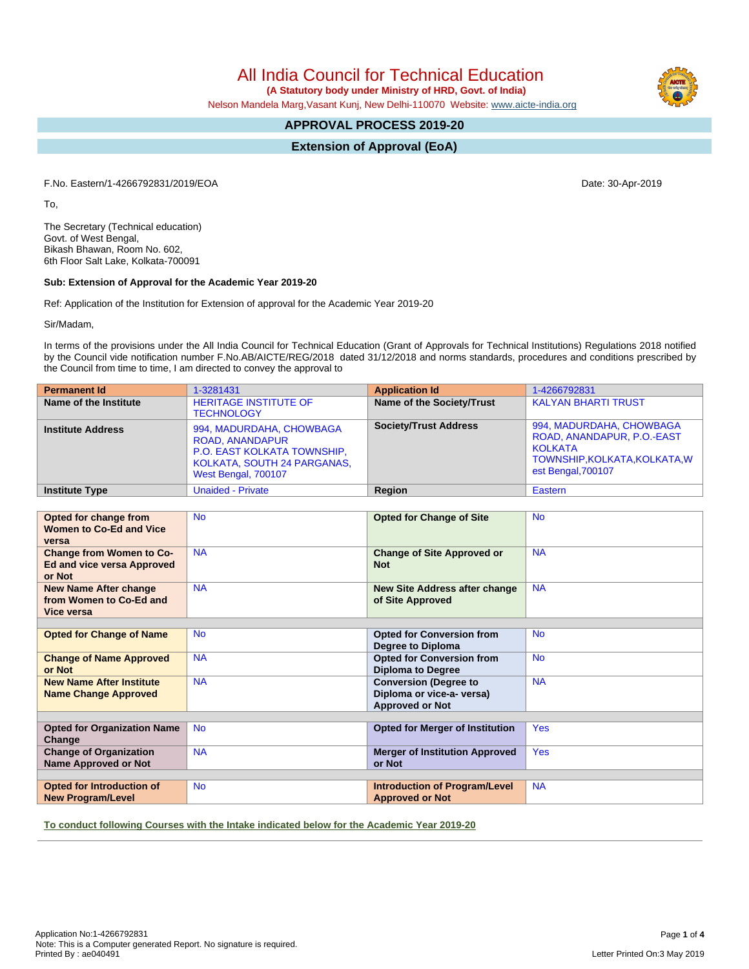All India Council for Technical Education

 **(A Statutory body under Ministry of HRD, Govt. of India)**

Nelson Mandela Marg,Vasant Kunj, New Delhi-110070 Website: [www.aicte-india.org](http://www.aicte-india.org)

# **APPROVAL PROCESS 2019-20**

**Extension of Approval (EoA)**

F.No. Eastern/1-4266792831/2019/EOA Date: 30-Apr-2019

To,

The Secretary (Technical education) Govt. of West Bengal, Bikash Bhawan, Room No. 602, 6th Floor Salt Lake, Kolkata-700091

#### **Sub: Extension of Approval for the Academic Year 2019-20**

Ref: Application of the Institution for Extension of approval for the Academic Year 2019-20

Sir/Madam,

In terms of the provisions under the All India Council for Technical Education (Grant of Approvals for Technical Institutions) Regulations 2018 notified by the Council vide notification number F.No.AB/AICTE/REG/2018 dated 31/12/2018 and norms standards, procedures and conditions prescribed by the Council from time to time, I am directed to convey the approval to

| <b>Permanent Id</b>      | 1-3281431                                                                                                                               | <b>Application Id</b>        | 1-4266792831                                                                                                                    |
|--------------------------|-----------------------------------------------------------------------------------------------------------------------------------------|------------------------------|---------------------------------------------------------------------------------------------------------------------------------|
| Name of the Institute    | <b>HERITAGE INSTITUTE OF</b><br><b>TECHNOLOGY</b>                                                                                       | Name of the Society/Trust    | <b>KALYAN BHARTI TRUST</b>                                                                                                      |
| <b>Institute Address</b> | 994, MADURDAHA, CHOWBAGA<br><b>ROAD, ANANDAPUR</b><br>P.O. EAST KOLKATA TOWNSHIP,<br>KOLKATA, SOUTH 24 PARGANAS,<br>West Bengal, 700107 | <b>Society/Trust Address</b> | 994, MADURDAHA, CHOWBAGA<br>ROAD, ANANDAPUR, P.O.-EAST<br><b>KOLKATA</b><br>TOWNSHIP, KOLKATA, KOLKATA, W<br>est Bengal, 700107 |
| <b>Institute Type</b>    | <b>Unaided - Private</b>                                                                                                                | <b>Region</b>                | Eastern                                                                                                                         |

| Opted for change from<br><b>Women to Co-Ed and Vice</b><br>versa               | <b>No</b> | <b>Opted for Change of Site</b>                                                     | <b>No</b>  |  |  |
|--------------------------------------------------------------------------------|-----------|-------------------------------------------------------------------------------------|------------|--|--|
| <b>Change from Women to Co-</b><br><b>Ed and vice versa Approved</b><br>or Not | <b>NA</b> | <b>Change of Site Approved or</b><br><b>Not</b>                                     | <b>NA</b>  |  |  |
| <b>New Name After change</b><br>from Women to Co-Ed and<br>Vice versa          | <b>NA</b> | <b>New Site Address after change</b><br>of Site Approved                            | <b>NA</b>  |  |  |
|                                                                                |           |                                                                                     |            |  |  |
| <b>Opted for Change of Name</b>                                                | <b>No</b> | <b>Opted for Conversion from</b><br>Degree to Diploma                               | <b>No</b>  |  |  |
| <b>Change of Name Approved</b><br>or Not                                       | <b>NA</b> | <b>Opted for Conversion from</b><br><b>Diploma to Degree</b>                        | <b>No</b>  |  |  |
| <b>New Name After Institute</b><br><b>Name Change Approved</b>                 | <b>NA</b> | <b>Conversion (Degree to</b><br>Diploma or vice-a- versa)<br><b>Approved or Not</b> | <b>NA</b>  |  |  |
|                                                                                |           |                                                                                     |            |  |  |
| <b>Opted for Organization Name</b><br>Change                                   | <b>No</b> | <b>Opted for Merger of Institution</b>                                              | <b>Yes</b> |  |  |
| <b>Change of Organization</b><br><b>Name Approved or Not</b>                   | <b>NA</b> | <b>Merger of Institution Approved</b><br>or Not                                     | <b>Yes</b> |  |  |
|                                                                                |           |                                                                                     |            |  |  |
| Opted for Introduction of<br><b>New Program/Level</b>                          | <b>No</b> | <b>Introduction of Program/Level</b><br><b>Approved or Not</b>                      | <b>NA</b>  |  |  |

**To conduct following Courses with the Intake indicated below for the Academic Year 2019-20**

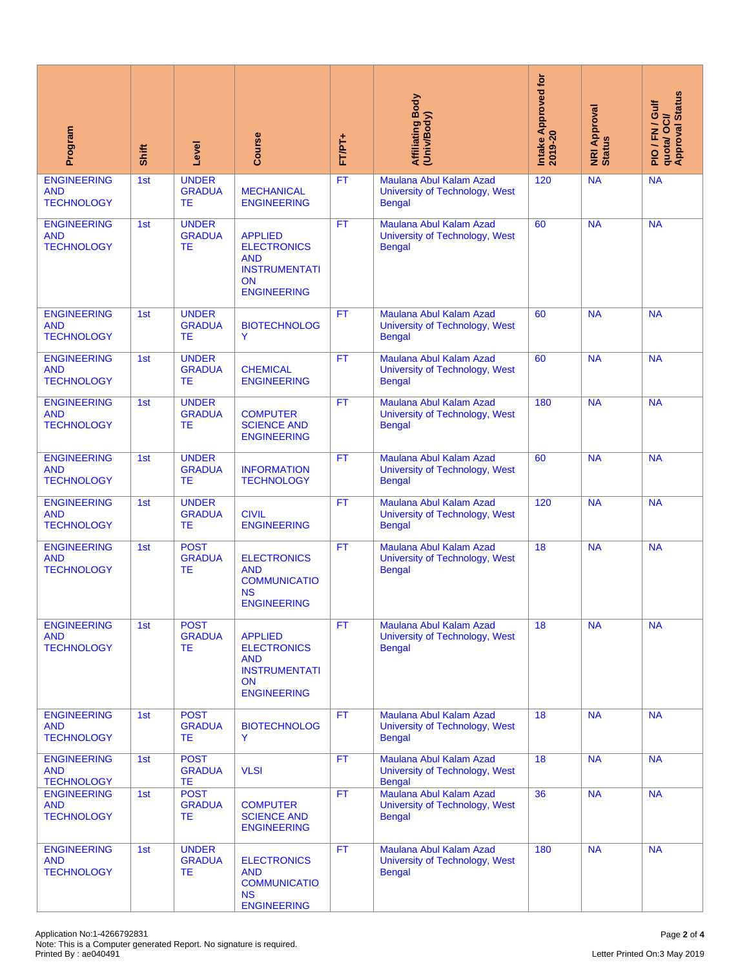| Program                                                                                                                     | Shift | Level                                      | Course                                                                                                        | FT/PT+    | Affiliating Body<br>(Univ/Body)                                            | Intake Approved for<br>2019-20 | <b>NRI Approval</b><br>Status | quota/ OCI/<br>Approval Status<br>PIO/FN/Gulf |
|-----------------------------------------------------------------------------------------------------------------------------|-------|--------------------------------------------|---------------------------------------------------------------------------------------------------------------|-----------|----------------------------------------------------------------------------|--------------------------------|-------------------------------|-----------------------------------------------|
| <b>ENGINEERING</b><br><b>AND</b><br><b>TECHNOLOGY</b>                                                                       | 1st   | <b>UNDER</b><br><b>GRADUA</b><br><b>TE</b> | <b>MECHANICAL</b><br><b>ENGINEERING</b>                                                                       | FT        | Maulana Abul Kalam Azad<br>University of Technology, West<br><b>Bengal</b> | 120                            | <b>NA</b>                     | <b>NA</b>                                     |
| <b>ENGINEERING</b><br><b>AND</b><br><b>TECHNOLOGY</b>                                                                       | 1st   | <b>UNDER</b><br><b>GRADUA</b><br><b>TE</b> | <b>APPLIED</b><br><b>ELECTRONICS</b><br><b>AND</b><br><b>INSTRUMENTATI</b><br><b>ON</b><br><b>ENGINEERING</b> | <b>FT</b> | Maulana Abul Kalam Azad<br>University of Technology, West<br><b>Bengal</b> | 60                             | <b>NA</b>                     | <b>NA</b>                                     |
| <b>ENGINEERING</b><br><b>AND</b><br><b>TECHNOLOGY</b>                                                                       | 1st   | <b>UNDER</b><br><b>GRADUA</b><br>TE.       | <b>BIOTECHNOLOG</b><br>Y                                                                                      | FT.       | Maulana Abul Kalam Azad<br>University of Technology, West<br><b>Bengal</b> | 60                             | <b>NA</b>                     | <b>NA</b>                                     |
| <b>ENGINEERING</b><br><b>AND</b><br><b>TECHNOLOGY</b>                                                                       | 1st   | <b>UNDER</b><br><b>GRADUA</b><br><b>TE</b> | <b>CHEMICAL</b><br><b>ENGINEERING</b>                                                                         | <b>FT</b> | Maulana Abul Kalam Azad<br>University of Technology, West<br><b>Bengal</b> | 60                             | <b>NA</b>                     | <b>NA</b>                                     |
| <b>ENGINEERING</b><br><b>AND</b><br><b>TECHNOLOGY</b>                                                                       | 1st   | <b>UNDER</b><br><b>GRADUA</b><br><b>TE</b> | <b>COMPUTER</b><br><b>SCIENCE AND</b><br><b>ENGINEERING</b>                                                   | <b>FT</b> | Maulana Abul Kalam Azad<br>University of Technology, West<br><b>Bengal</b> | 180                            | <b>NA</b>                     | <b>NA</b>                                     |
| <b>ENGINEERING</b><br><b>AND</b><br><b>TECHNOLOGY</b>                                                                       | 1st   | <b>UNDER</b><br><b>GRADUA</b><br><b>TE</b> | <b>INFORMATION</b><br><b>TECHNOLOGY</b>                                                                       | <b>FT</b> | Maulana Abul Kalam Azad<br>University of Technology, West<br><b>Bengal</b> | 60                             | <b>NA</b>                     | <b>NA</b>                                     |
| <b>ENGINEERING</b><br><b>AND</b><br><b>TECHNOLOGY</b>                                                                       | 1st   | <b>UNDER</b><br><b>GRADUA</b><br><b>TE</b> | <b>CIVIL</b><br><b>ENGINEERING</b>                                                                            | <b>FT</b> | Maulana Abul Kalam Azad<br>University of Technology, West<br><b>Bengal</b> | 120                            | <b>NA</b>                     | <b>NA</b>                                     |
| <b>ENGINEERING</b><br><b>AND</b><br><b>TECHNOLOGY</b>                                                                       | 1st   | <b>POST</b><br><b>GRADUA</b><br><b>TE</b>  | <b>ELECTRONICS</b><br><b>AND</b><br><b>COMMUNICATIO</b><br><b>NS</b><br><b>ENGINEERING</b>                    | <b>FT</b> | Maulana Abul Kalam Azad<br>University of Technology, West<br><b>Bengal</b> | 18                             | <b>NA</b>                     | <b>NA</b>                                     |
| <b>ENGINEERING</b><br><b>AND</b><br><b>TECHNOLOGY</b>                                                                       | 1st   | <b>POST</b><br><b>GRADUA</b><br>ТE         | <b>APPLIED</b><br><b>ELECTRONICS</b><br><b>AND</b><br><b>INSTRUMENTATI</b><br><b>ON</b><br><b>ENGINEERING</b> | <b>FT</b> | Maulana Abul Kalam Azad<br>University of Technology, West<br><b>Bengal</b> | 18                             | <b>NA</b>                     | <b>NA</b>                                     |
| <b>ENGINEERING</b><br><b>AND</b><br><b>TECHNOLOGY</b>                                                                       | 1st   | <b>POST</b><br><b>GRADUA</b><br>ТE         | <b>BIOTECHNOLOG</b><br>Y                                                                                      | <b>FT</b> | Maulana Abul Kalam Azad<br>University of Technology, West<br><b>Bengal</b> | 18                             | <b>NA</b>                     | <b>NA</b>                                     |
| <b>ENGINEERING</b><br><b>AND</b><br><b>TECHNOLOGY</b>                                                                       | 1st   | <b>POST</b><br><b>GRADUA</b><br><b>TE</b>  | <b>VLSI</b>                                                                                                   | <b>FT</b> | Maulana Abul Kalam Azad<br>University of Technology, West<br><b>Bengal</b> | 18                             | <b>NA</b>                     | <b>NA</b>                                     |
| <b>ENGINEERING</b><br><b>AND</b><br><b>TECHNOLOGY</b>                                                                       | 1st   | <b>POST</b><br><b>GRADUA</b><br>TE         | <b>COMPUTER</b><br><b>SCIENCE AND</b><br><b>ENGINEERING</b>                                                   | <b>FT</b> | Maulana Abul Kalam Azad<br>University of Technology, West<br><b>Bengal</b> | 36                             | <b>NA</b>                     | <b>NA</b>                                     |
| <b>ENGINEERING</b><br><b>AND</b><br><b>TECHNOLOGY</b>                                                                       | 1st   | <b>UNDER</b><br><b>GRADUA</b><br>TE        | <b>ELECTRONICS</b><br><b>AND</b><br><b>COMMUNICATIO</b><br><b>NS</b><br><b>ENGINEERING</b>                    | FT.       | Maulana Abul Kalam Azad<br>University of Technology, West<br><b>Bengal</b> | 180                            | <b>NA</b>                     | <b>NA</b>                                     |
| Application No:1-4266792831<br>Note: This is a Computer generated Report. No signature is required.<br>Printed By: ae040491 |       |                                            |                                                                                                               |           |                                                                            |                                |                               | Page 2 of 4<br>Letter Printed On:3 May 2019   |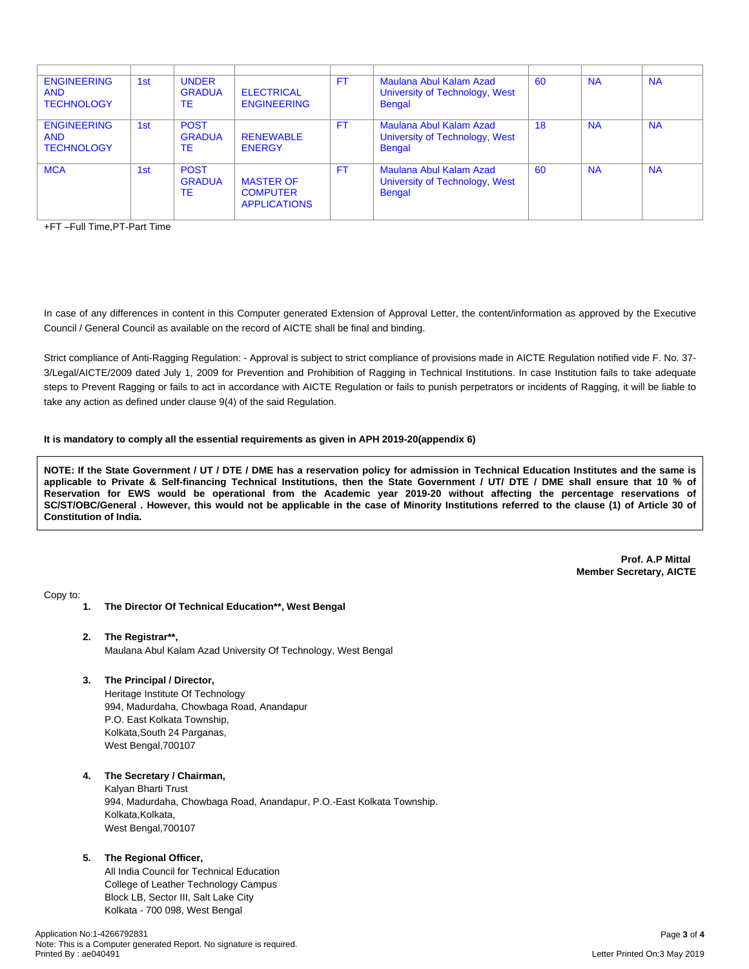| <b>ENGINEERING</b><br><b>AND</b><br><b>TECHNOLOGY</b> | 1st | <b>UNDER</b><br><b>GRADUA</b><br><b>TE</b> | <b>ELECTRICAL</b><br><b>ENGINEERING</b>                    | FT        | Maulana Abul Kalam Azad<br>University of Technology, West<br><b>Bengal</b> | 60  | <b>NA</b> | <b>NA</b> |
|-------------------------------------------------------|-----|--------------------------------------------|------------------------------------------------------------|-----------|----------------------------------------------------------------------------|-----|-----------|-----------|
| <b>ENGINEERING</b><br><b>AND</b><br><b>TECHNOLOGY</b> | 1st | <b>POST</b><br><b>GRADUA</b><br>TE         | <b>RENEWABLE</b><br><b>ENERGY</b>                          | FT        | Maulana Abul Kalam Azad<br>University of Technology, West<br><b>Bengal</b> | 18  | <b>NA</b> | <b>NA</b> |
| <b>MCA</b>                                            | 1st | <b>POST</b><br><b>GRADUA</b><br>TE         | <b>MASTER OF</b><br><b>COMPUTER</b><br><b>APPLICATIONS</b> | <b>FT</b> | Maulana Abul Kalam Azad<br>University of Technology, West<br><b>Bengal</b> | -60 | <b>NA</b> | <b>NA</b> |

+FT –Full Time,PT-Part Time

In case of any differences in content in this Computer generated Extension of Approval Letter, the content/information as approved by the Executive Council / General Council as available on the record of AICTE shall be final and binding.

Strict compliance of Anti-Ragging Regulation: - Approval is subject to strict compliance of provisions made in AICTE Regulation notified vide F. No. 37- 3/Legal/AICTE/2009 dated July 1, 2009 for Prevention and Prohibition of Ragging in Technical Institutions. In case Institution fails to take adequate steps to Prevent Ragging or fails to act in accordance with AICTE Regulation or fails to punish perpetrators or incidents of Ragging, it will be liable to take any action as defined under clause 9(4) of the said Regulation.

### **It is mandatory to comply all the essential requirements as given in APH 2019-20(appendix 6)**

NOTE: If the State Government / UT / DTE / DME has a reservation policy for admission in Technical Education Institutes and the same is applicable to Private & Self-financing Technical Institutions, then the State Government / UT/ DTE / DME shall ensure that 10 % of Reservation for EWS would be operational from the Academic year 2019-20 without affecting the percentage reservations of SC/ST/OBC/General . However, this would not be applicable in the case of Minority Institutions referred to the clause (1) of Article 30 of **Constitution of India.**

> **Prof. A.P Mittal Member Secretary, AICTE**

Copy to:

- **1. The Director Of Technical Education\*\*, West Bengal**
- **2. The Registrar\*\*,** Maulana Abul Kalam Azad University Of Technology, West Bengal
- **3. The Principal / Director,**

Heritage Institute Of Technology 994, Madurdaha, Chowbaga Road, Anandapur P.O. East Kolkata Township, Kolkata,South 24 Parganas, West Bengal,700107

## **4. The Secretary / Chairman,**

Kalyan Bharti Trust 994, Madurdaha, Chowbaga Road, Anandapur, P.O.-East Kolkata Township. Kolkata, Kolkata, West Bengal,700107

#### **5. The Regional Officer,**

All India Council for Technical Education College of Leather Technology Campus Block LB, Sector III, Salt Lake City Kolkata - 700 098, West Bengal